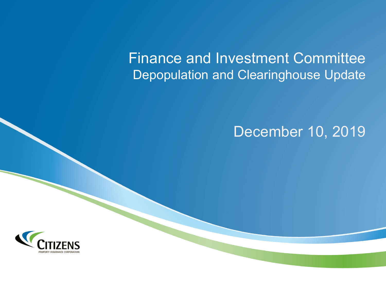Finance and Investment Committee Depopulation and Clearinghouse Update

# December 10, 2019

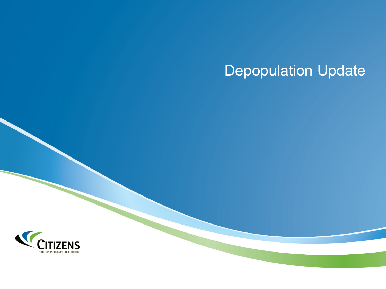# Depopulation Update

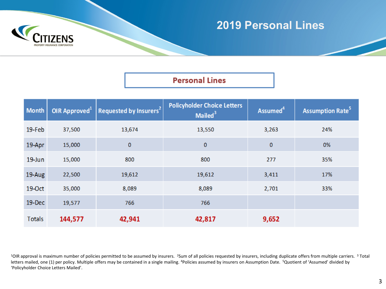

## **2019 Personal Lines**

#### **Personal Lines**

| <b>Month</b>  | OIR Approved $1$ | Requested by Insurers <sup>2</sup> | <b>Policyholder Choice Letters</b><br>Mailed <sup>3</sup> | Assumed <sup>4</sup> | <b>Assumption Rate<sup>5</sup></b> |
|---------------|------------------|------------------------------------|-----------------------------------------------------------|----------------------|------------------------------------|
| $19$ -Feb     | 37,500           | 13,674                             | 13,550                                                    | 3,263                | 24%                                |
| 19-Apr        | 15,000           | $\mathbf{0}$                       | $\bf{0}$                                                  | 0                    | 0%                                 |
| $19$ -Jun     | 15,000           | 800                                | 800                                                       | 277                  | 35%                                |
| 19-Aug        | 22,500           | 19,612                             | 19,612                                                    | 3,411                | 17%                                |
| 19-Oct        | 35,000           | 8,089                              | 8,089                                                     | 2,701                | 33%                                |
| $19$ -Dec     | 19,577           | 766                                | 766                                                       |                      |                                    |
| <b>Totals</b> | 144,577          | 42,941                             | 42,817                                                    | 9,652                |                                    |

<sup>1</sup>OIR approval is maximum number of policies permitted to be assumed by insurers. <sup>2</sup>Sum of all policies requested by insurers, including duplicate offers from multiple carriers. <sup>3</sup> Total letters mailed, one (1) per policy. Multiple offers may be contained in a single mailing. <sup>4</sup>Policies assumed by insurers on Assumption Date. <sup>5</sup>Quotient of 'Assumed' divided by 'Policyholder Choice Letters Mailed'.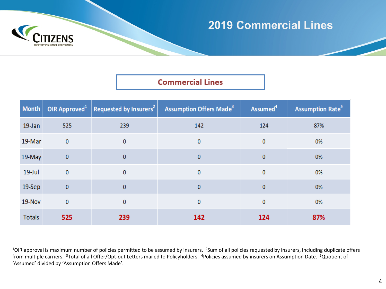

## **2019 Commercial Lines**

### **Commercial Lines**

| <b>Month</b>  | OIR Approved $1$ | Requested by Insurers <sup>2</sup> | <b>Assumption Offers Made<sup>3</sup></b> | Assumed <sup>4</sup> | <b>Assumption Rate<sup>5</sup></b> |
|---------------|------------------|------------------------------------|-------------------------------------------|----------------------|------------------------------------|
| 19-Jan        | 525              | 239                                | 142                                       | 124                  | 87%                                |
| 19-Mar        | $\mathbf{0}$     | $\mathbf{0}$                       | $\bf{0}$                                  | $\bf{0}$             | 0%                                 |
| 19-May        | $\overline{0}$   | $\mathbf{0}$                       | $\bf{0}$                                  | $\bf{0}$             | 0%                                 |
| $19$ -Jul     | $\bf{0}$         | $\mathbf{0}$                       | $\bf{0}$                                  | $\bf{0}$             | 0%                                 |
| $19-$ Sep     | $\pmb{0}$        | $\mathbf{0}$                       | $\bf{0}$                                  | $\mathbf{0}$         | 0%                                 |
| 19-Nov        | $\bf{0}$         | $\mathbf{0}$                       | 0                                         | $\bf{0}$             | 0%                                 |
| <b>Totals</b> | 525              | 239                                | 142                                       | 124                  | 87%                                |

<sup>1</sup>OIR approval is maximum number of policies permitted to be assumed by insurers. <sup>2</sup>Sum of all policies requested by insurers, including duplicate offers from multiple carriers. 3Total of all Offer/Opt-out Letters mailed to Policyholders. 4Policies assumed by insurers on Assumption Date. 5Quotient of 'Assumed' divided by 'Assumption Offers Made'.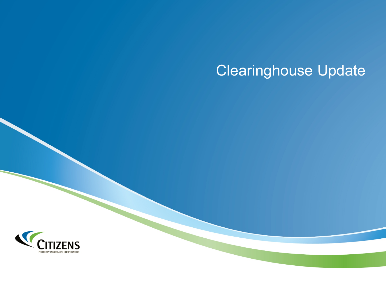# Clearinghouse Update

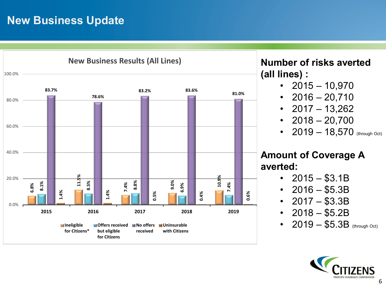# **New Business Update**



**Number of risks averted (all lines) :**

- $2015 10,970$
- $2016 20,710$
- $2017 13,262$
- $2018 20,700$
- 2019  $-$  18,570 (through Oct)

### **Amount of Coverage A averted:**

- $2015 $3.1B$
- $2016 $5.3B$
- $2017 $3.3B$
- $2018 $5.2B$
- 2019 \$5.3B (through Oct)

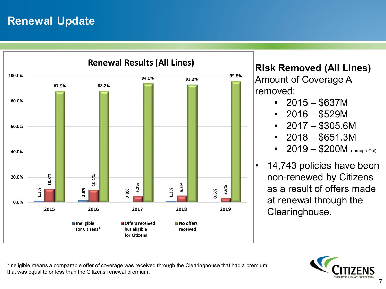## **Renewal Update**



**Risk Removed (All Lines)**

Amount of Coverage A removed:

- $2015 $637M$
- $2016 $529M$
- $2017 $305.6M$
- $2018 $651.3M$
- $2019 $200M$  (through Oct)
- 14,743 policies have been non-renewed by Citizens as a result of offers made at renewal through the Clearinghouse.



\*Ineligible means a comparable offer of coverage was received through the Clearinghouse that had a premium that was equal to or less than the Citizens renewal premium.